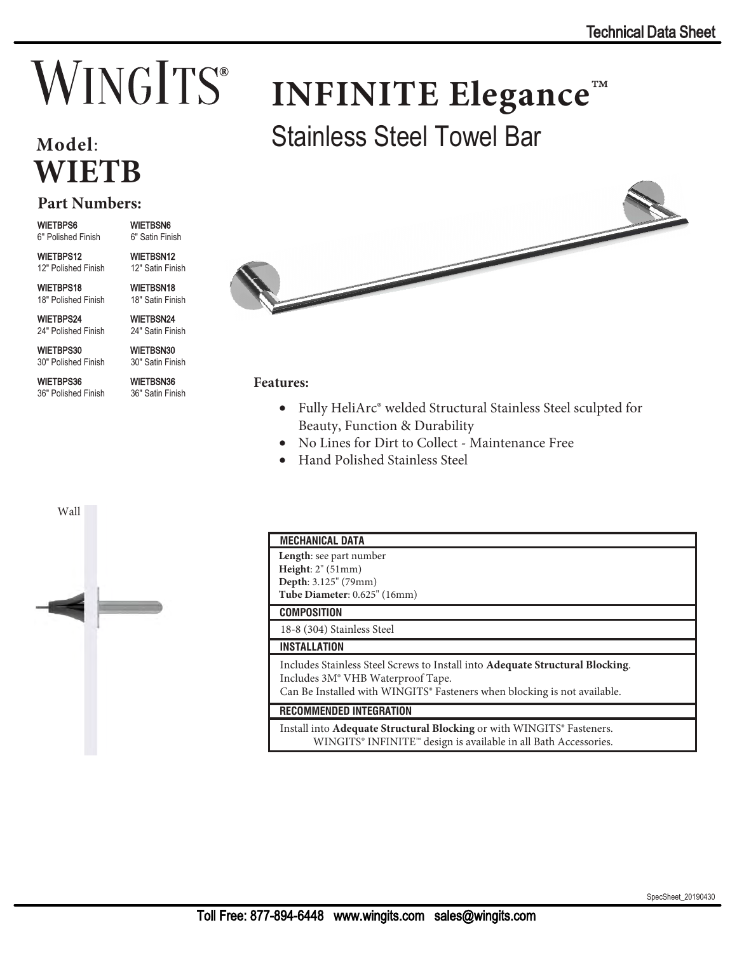# **INFINITE Elegance**™

## **Model**: **WIETB**

#### **Part Numbers:**

WIETBPS6

6" Polished Finish 6" Satin Finish

WIETBPS12 12" Polished Finish

WIETBPS18 18" Polished Finish

WIETBPS24 24" Polished Finish

WIETBPS30 30" Polished Finish

WIETBPS36 36" Polished Finish WIETBSN36 36" Satin Finish

WIETBSN6

WIETBSN12 12" Satin Finish WIETBSN18 18" Satin Finish WIETBSN24 24" Satin Finish WIETBSN30 30" Satin Finish



Stainless Steel Towel Bar

#### **Features:**

- Fully HeliArc® welded Structural Stainless Steel sculpted for Beauty, Function & Durability
- No Lines for Dirt to Collect Maintenance Free
- Hand Polished Stainless Steel



### **MECHANICAL DATA**

| <b>MEVIMBUAL UNIA</b>                                                                                                                                                                                                  |
|------------------------------------------------------------------------------------------------------------------------------------------------------------------------------------------------------------------------|
| <b>Length</b> : see part number<br>Height: $2^{\prime\prime}$ (51mm)<br>Depth: 3.125" (79mm)<br>Tube Diameter: 0.625" (16mm)                                                                                           |
| <b>COMPOSITION</b>                                                                                                                                                                                                     |
| 18-8 (304) Stainless Steel                                                                                                                                                                                             |
| <b>INSTALLATION</b>                                                                                                                                                                                                    |
| Includes Stainless Steel Screws to Install into Adequate Structural Blocking.<br>Includes 3M <sup>®</sup> VHB Waterproof Tape.<br>Can Be Installed with WINGITS <sup>®</sup> Fasteners when blocking is not available. |
| <b>RECOMMENDED INTEGRATION</b>                                                                                                                                                                                         |
| Install into Adequate Structural Blocking or with WINGITS <sup>®</sup> Fasteners.<br>WINGITS <sup>®</sup> INFINITE <sup>™</sup> design is available in all Bath Accessories.                                           |